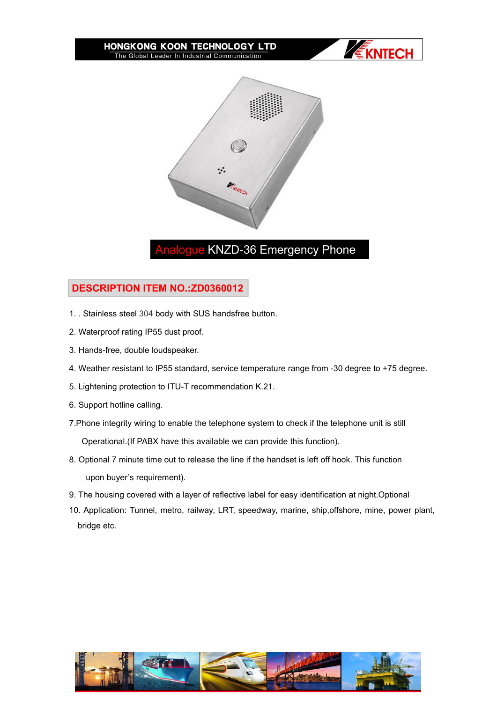#### HONGKONG KOON TECHNOLOGY LTD The Global Leader In Industrial Communication





# logue KNZD-36 Emergency Phone

## **DESCRIPTION ITEM NO.:ZD0360012**

- 1. . Stainless steel 304 body with SUS handsfree button.
- 2. Waterproof rating IP55 dust proof.
- 3. Hands-free, double loudspeaker.
- 4. Weather resistant to IP55 standard, service temperature range from -30 degree to +75 degree.
- 5. Lightening protection to ITU-T recommendation K.21.
- 6. Support hotline calling.
- 7.Phone integrity wiring to enable the telephone system to check if the telephone unit is still

Operational.(If PABX have this available we can provide this function).

- 8. Optional 7 minute time out to release the line if the handset is left off hook. This function upon buyer's requirement).
- 9. The housing covered with a layer of reflective label for easy identification at night.Optional
- 10. Application: Tunnel, metro, railway, LRT, speedway, marine, ship,offshore, mine, power plant, bridge etc.